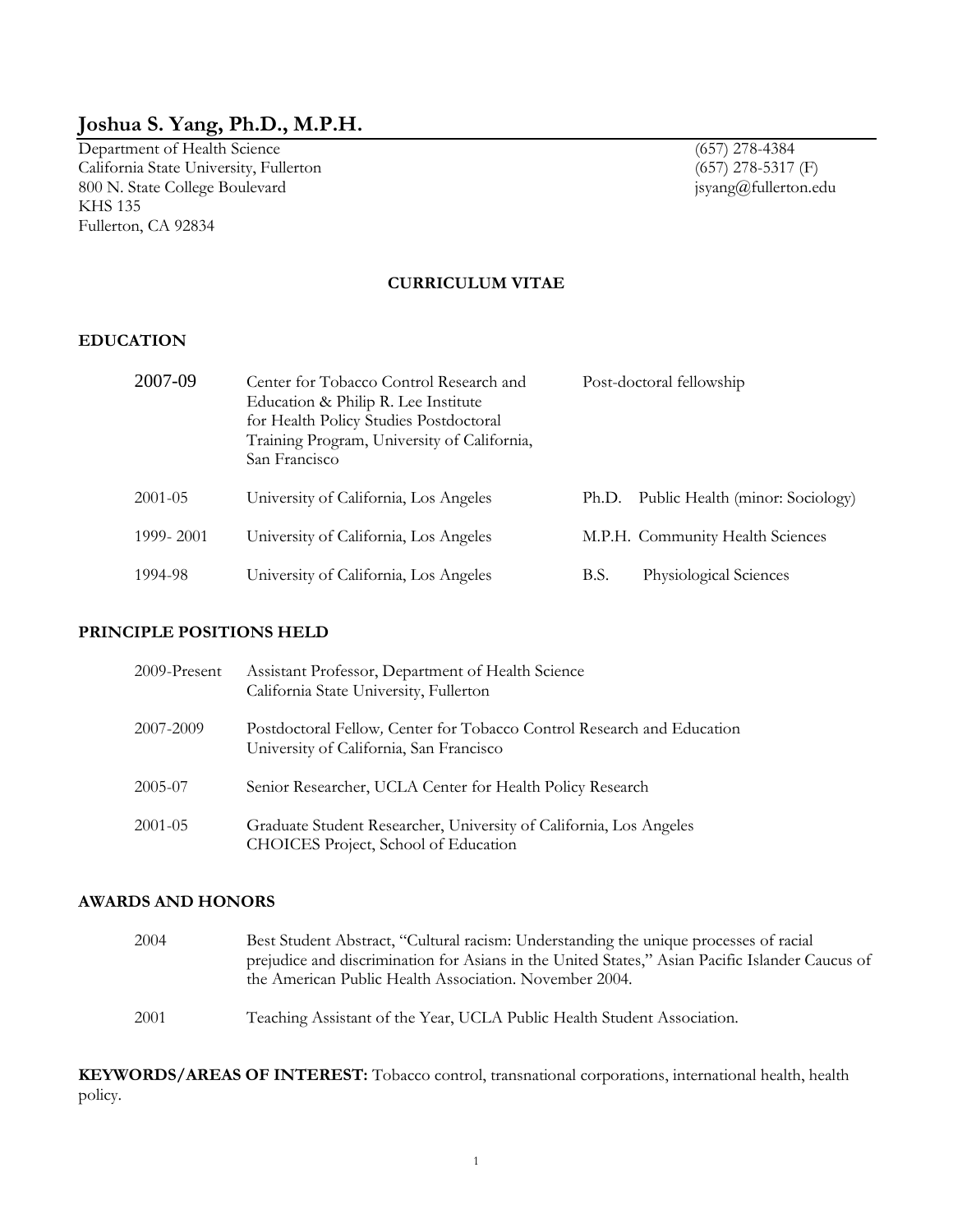# **Joshua S. Yang, Ph.D., M.P.H.**

Department of Health Science (657) 278-4384 California State University, Fullerton (657) 278-5317 (F) 800 N. State College Boulevard jsyang@fullerton.edu KHS 135 Fullerton, CA 92834

### **CURRICULUM VITAE**

#### **EDUCATION**

| 2007-09     | Center for Tobacco Control Research and<br>Education & Philip R. Lee Institute<br>for Health Policy Studies Postdoctoral<br>Training Program, University of California,<br>San Francisco | Post-doctoral fellowship                  |
|-------------|------------------------------------------------------------------------------------------------------------------------------------------------------------------------------------------|-------------------------------------------|
| $2001 - 05$ | University of California, Los Angeles                                                                                                                                                    | Public Health (minor: Sociology)<br>Ph.D. |
| 1999-2001   | University of California, Los Angeles                                                                                                                                                    | M.P.H. Community Health Sciences          |
| 1994-98     | University of California, Los Angeles                                                                                                                                                    | Physiological Sciences<br>B.S.            |

### **PRINCIPLE POSITIONS HELD**

| $2009$ -Present | Assistant Professor, Department of Health Science<br>California State University, Fullerton                       |
|-----------------|-------------------------------------------------------------------------------------------------------------------|
| 2007-2009       | Postdoctoral Fellow, Center for Tobacco Control Research and Education<br>University of California, San Francisco |
| 2005-07         | Senior Researcher, UCLA Center for Health Policy Research                                                         |
| $2001 - 05$     | Graduate Student Researcher, University of California, Los Angeles<br>CHOICES Project, School of Education        |

### **AWARDS AND HONORS**

| 2004 | Best Student Abstract, "Cultural racism: Understanding the unique processes of racial<br>prejudice and discrimination for Asians in the United States," Asian Pacific Islander Caucus of |  |
|------|------------------------------------------------------------------------------------------------------------------------------------------------------------------------------------------|--|
|      | the American Public Health Association. November 2004.                                                                                                                                   |  |
| 2001 | Teaching Assistant of the Year, UCLA Public Health Student Association.                                                                                                                  |  |

**KEYWORDS/AREAS OF INTEREST:** Tobacco control, transnational corporations, international health, health policy.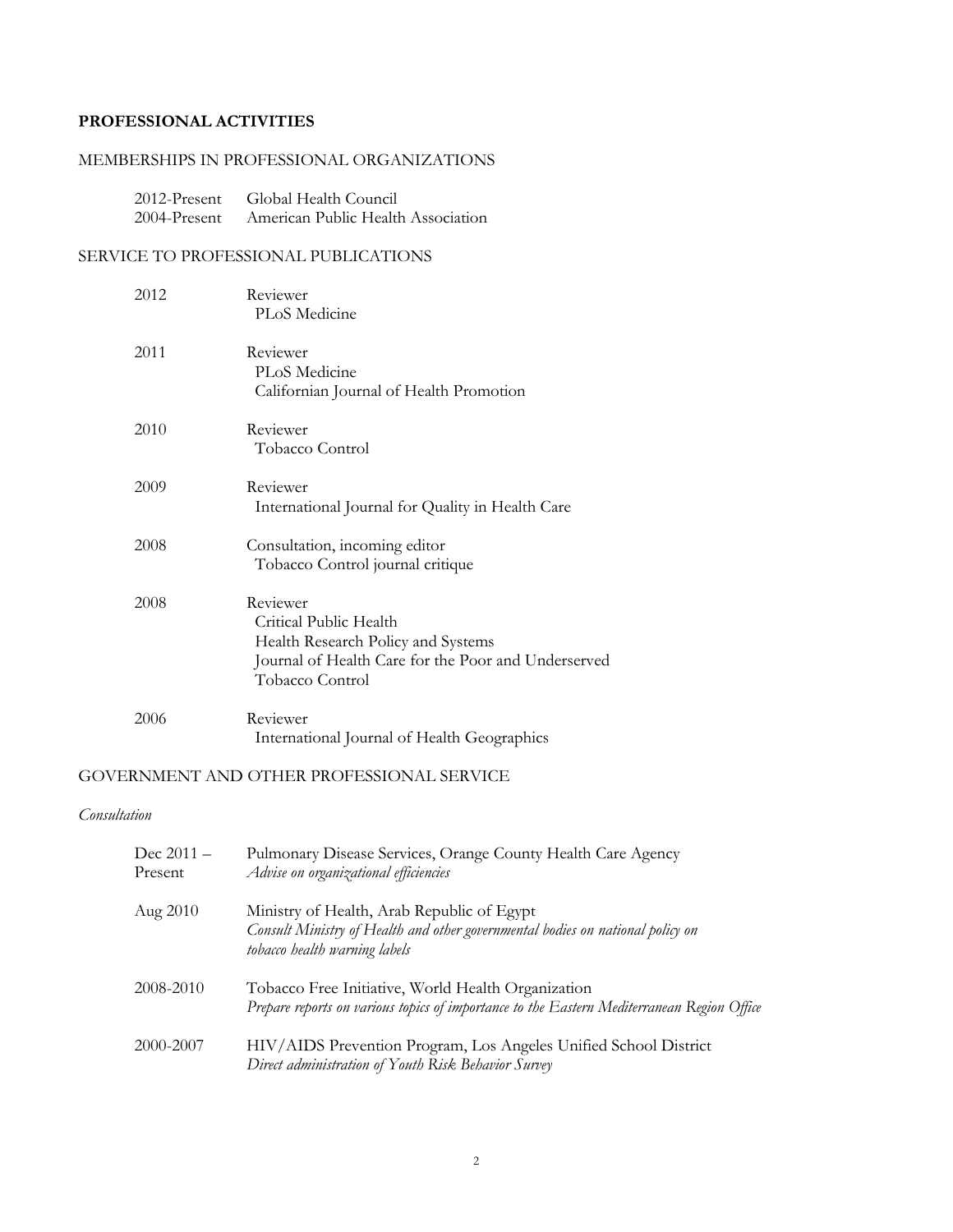## **PROFESSIONAL ACTIVITIES**

### MEMBERSHIPS IN PROFESSIONAL ORGANIZATIONS

| $2012$ -Present | Global Health Council              |
|-----------------|------------------------------------|
| 2004-Present    | American Public Health Association |

### SERVICE TO PROFESSIONAL PUBLICATIONS

| 2012 | Reviewer<br>PLoS Medicine                                                                                                                          |
|------|----------------------------------------------------------------------------------------------------------------------------------------------------|
| 2011 | Reviewer<br>PLoS Medicine<br>Californian Journal of Health Promotion                                                                               |
| 2010 | Reviewer<br>Tobacco Control                                                                                                                        |
| 2009 | Reviewer<br>International Journal for Quality in Health Care                                                                                       |
| 2008 | Consultation, incoming editor<br>Tobacco Control journal critique                                                                                  |
| 2008 | Reviewer<br>Critical Public Health<br>Health Research Policy and Systems<br>Journal of Health Care for the Poor and Underserved<br>Tobacco Control |
| 2006 | Reviewer<br>International Journal of Health Geographics                                                                                            |

### GOVERNMENT AND OTHER PROFESSIONAL SERVICE

#### *Consultation*

| Dec $2011 -$<br>Present | Pulmonary Disease Services, Orange County Health Care Agency<br>Advise on organizational efficiencies                                                         |
|-------------------------|---------------------------------------------------------------------------------------------------------------------------------------------------------------|
| Aug 2010                | Ministry of Health, Arab Republic of Egypt<br>Consult Ministry of Health and other governmental bodies on national policy on<br>tobacco health warning labels |
| 2008-2010               | Tobacco Free Initiative, World Health Organization<br>Prepare reports on various topics of importance to the Eastern Mediterranean Region Office              |
| 2000-2007               | HIV/AIDS Prevention Program, Los Angeles Unified School District<br>Direct administration of Youth Risk Behavior Survey                                       |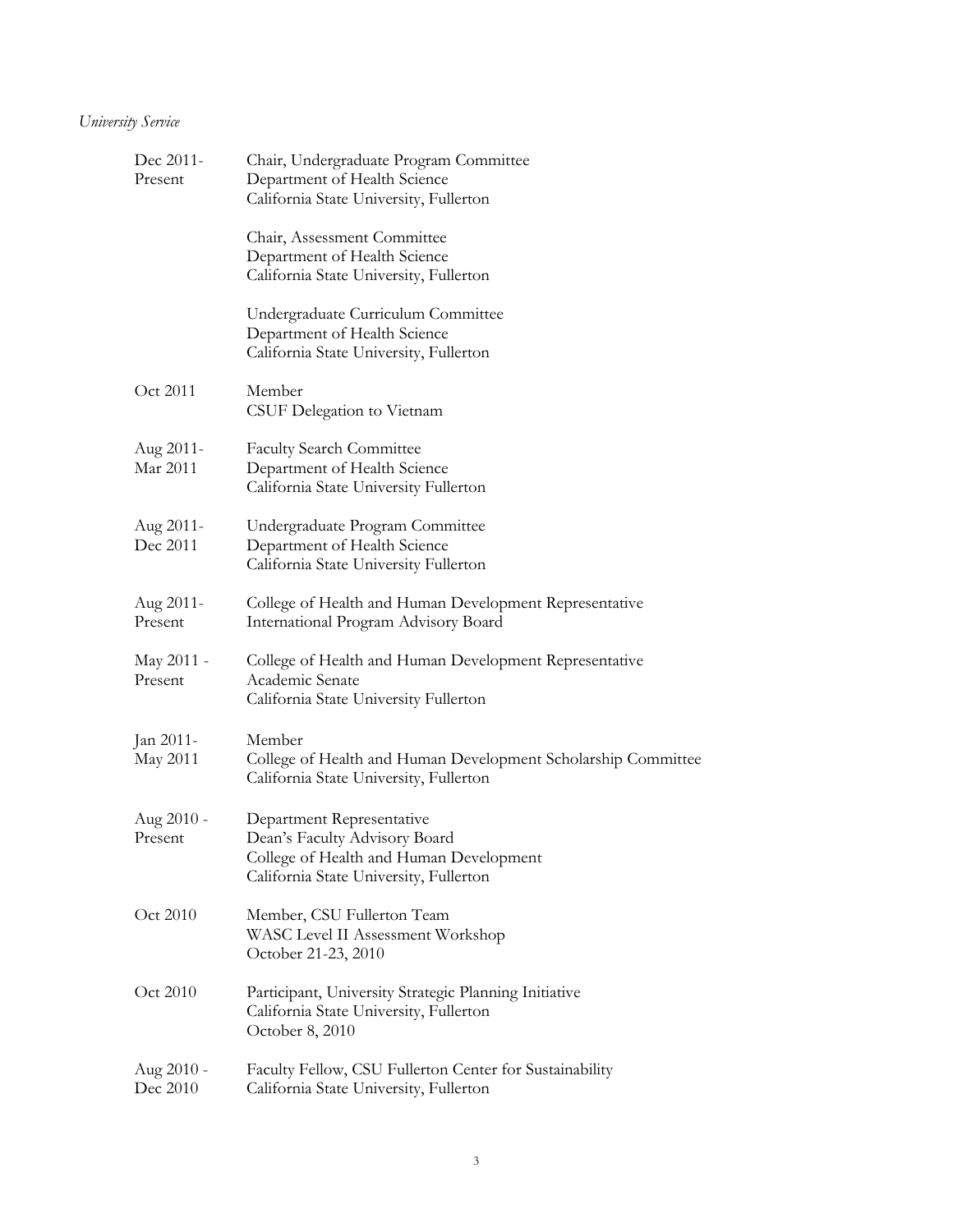# *University Service*

| Dec 2011-<br>Present   | Chair, Undergraduate Program Committee<br>Department of Health Science<br>California State University, Fullerton                                |
|------------------------|-------------------------------------------------------------------------------------------------------------------------------------------------|
|                        | Chair, Assessment Committee<br>Department of Health Science<br>California State University, Fullerton                                           |
|                        | Undergraduate Curriculum Committee<br>Department of Health Science<br>California State University, Fullerton                                    |
| Oct 2011               | Member<br>CSUF Delegation to Vietnam                                                                                                            |
| Aug 2011-<br>Mar 2011  | <b>Faculty Search Committee</b><br>Department of Health Science<br>California State University Fullerton                                        |
| Aug 2011-<br>Dec 2011  | Undergraduate Program Committee<br>Department of Health Science<br>California State University Fullerton                                        |
| Aug 2011-<br>Present   | College of Health and Human Development Representative<br>International Program Advisory Board                                                  |
| May 2011 -<br>Present  | College of Health and Human Development Representative<br>Academic Senate<br>California State University Fullerton                              |
| Jan 2011-<br>May 2011  | Member<br>College of Health and Human Development Scholarship Committee<br>California State University, Fullerton                               |
| Aug 2010 -<br>Present  | Department Representative<br>Dean's Faculty Advisory Board<br>College of Health and Human Development<br>California State University, Fullerton |
| Oct 2010               | Member, CSU Fullerton Team<br>WASC Level II Assessment Workshop<br>October 21-23, 2010                                                          |
| Oct 2010               | Participant, University Strategic Planning Initiative<br>California State University, Fullerton<br>October 8, 2010                              |
| Aug 2010 -<br>Dec 2010 | Faculty Fellow, CSU Fullerton Center for Sustainability<br>California State University, Fullerton                                               |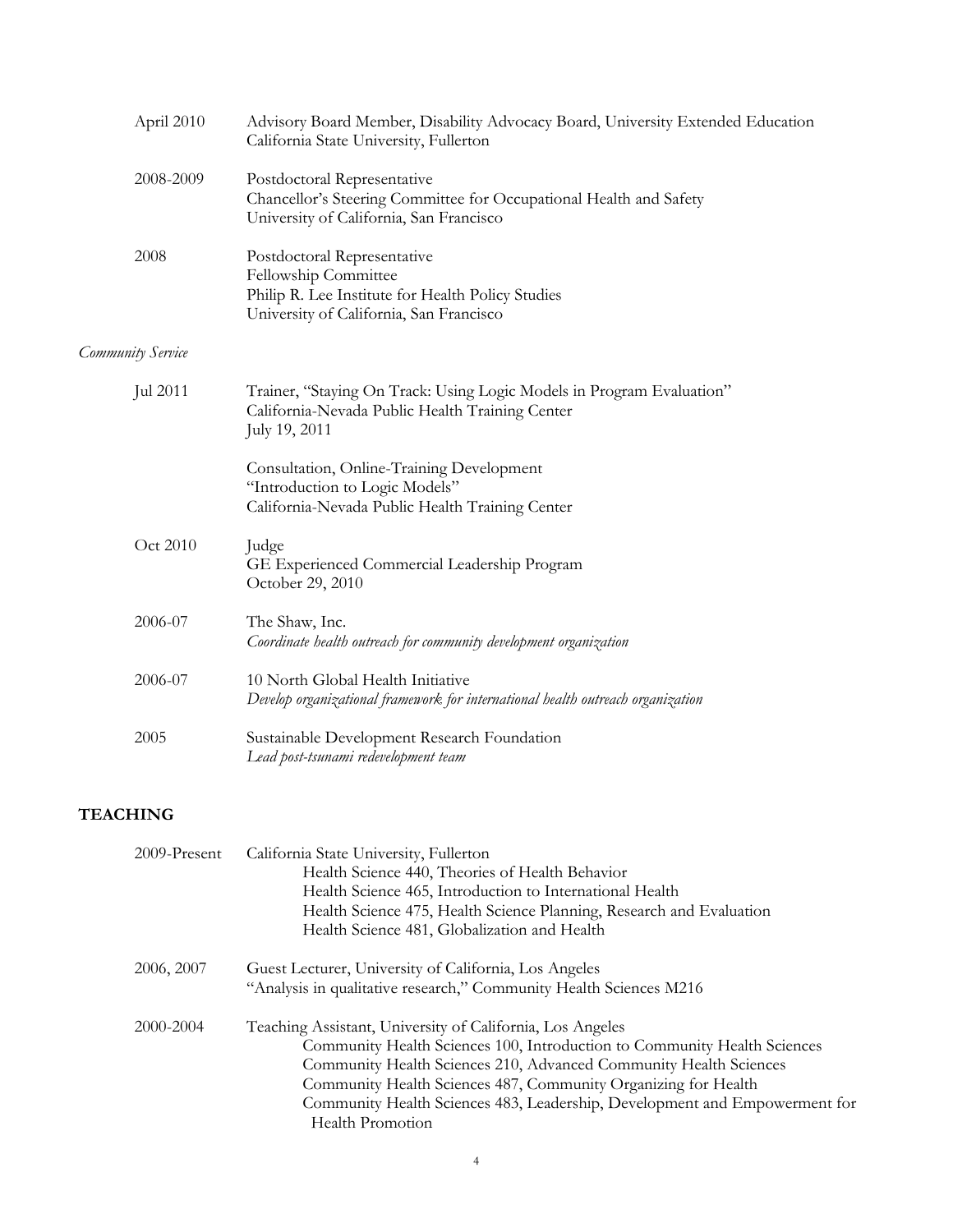| April 2010<br>Advisory Board Member, Disability Advocacy Board, University Extended Education<br>California State University, Fullerton |                                                                                                                                                     |
|-----------------------------------------------------------------------------------------------------------------------------------------|-----------------------------------------------------------------------------------------------------------------------------------------------------|
| 2008-2009                                                                                                                               | Postdoctoral Representative<br>Chancellor's Steering Committee for Occupational Health and Safety<br>University of California, San Francisco        |
| 2008                                                                                                                                    | Postdoctoral Representative<br>Fellowship Committee<br>Philip R. Lee Institute for Health Policy Studies<br>University of California, San Francisco |
| Community Service                                                                                                                       |                                                                                                                                                     |
| Jul 2011                                                                                                                                | Trainer, "Staying On Track: Using Logic Models in Program Evaluation"<br>California-Nevada Public Health Training Center<br>July 19, 2011           |
|                                                                                                                                         | Consultation, Online-Training Development<br>"Introduction to Logic Models"<br>California-Nevada Public Health Training Center                      |
| Oct 2010                                                                                                                                | Judge<br>GE Experienced Commercial Leadership Program<br>October 29, 2010                                                                           |
| 2006-07                                                                                                                                 | The Shaw, Inc.<br>Coordinate health outreach for community development organization                                                                 |
| 2006-07                                                                                                                                 | 10 North Global Health Initiative<br>Develop organizational framework for international health outreach organization                                |
| 2005                                                                                                                                    | Sustainable Development Research Foundation<br>Lead post-tsunami redevelopment team                                                                 |

# **TEACHING**

| 2009-Present | California State University, Fullerton                                     |  |
|--------------|----------------------------------------------------------------------------|--|
|              | Health Science 440, Theories of Health Behavior                            |  |
|              | Health Science 465, Introduction to International Health                   |  |
|              | Health Science 475, Health Science Planning, Research and Evaluation       |  |
|              | Health Science 481, Globalization and Health                               |  |
| 2006, 2007   | Guest Lecturer, University of California, Los Angeles                      |  |
|              | "Analysis in qualitative research," Community Health Sciences M216         |  |
| 2000-2004    | Teaching Assistant, University of California, Los Angeles                  |  |
|              | Community Health Sciences 100, Introduction to Community Health Sciences   |  |
|              | Community Health Sciences 210, Advanced Community Health Sciences          |  |
|              | Community Health Sciences 487, Community Organizing for Health             |  |
|              | Community Health Sciences 483, Leadership, Development and Empowerment for |  |
|              | <b>Health Promotion</b>                                                    |  |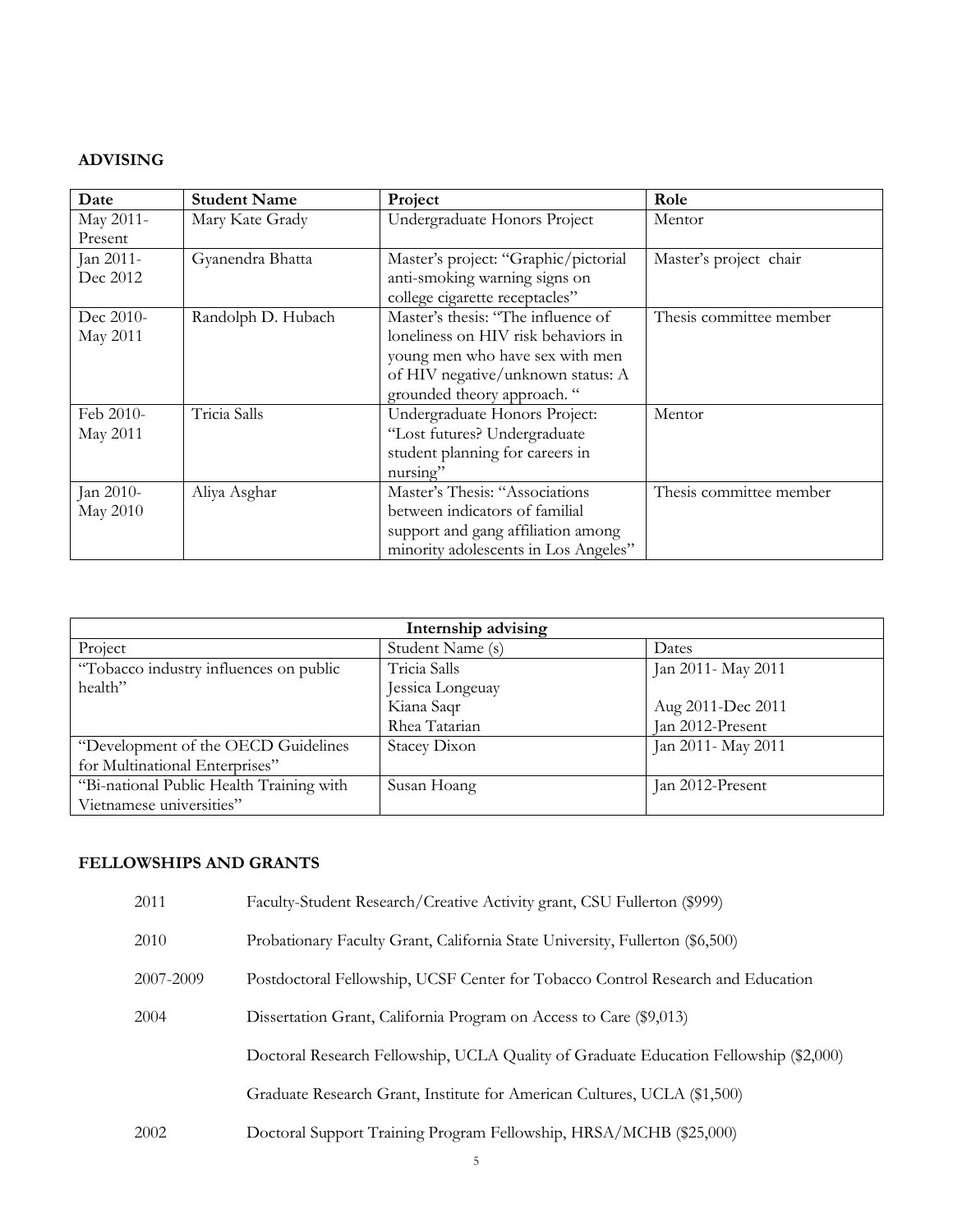### **ADVISING**

| Date      | <b>Student Name</b> | Project                              | Role                    |
|-----------|---------------------|--------------------------------------|-------------------------|
| May 2011- | Mary Kate Grady     | Undergraduate Honors Project         | Mentor                  |
| Present   |                     |                                      |                         |
| Jan 2011- | Gyanendra Bhatta    | Master's project: "Graphic/pictorial | Master's project chair  |
| Dec 2012  |                     | anti-smoking warning signs on        |                         |
|           |                     | college cigarette receptacles"       |                         |
| Dec 2010- | Randolph D. Hubach  | Master's thesis: "The influence of   | Thesis committee member |
| May 2011  |                     | loneliness on HIV risk behaviors in  |                         |
|           |                     | young men who have sex with men      |                         |
|           |                     | of HIV negative/unknown status: A    |                         |
|           |                     | grounded theory approach. "          |                         |
| Feb 2010- | Tricia Salls        | Undergraduate Honors Project:        | Mentor                  |
| May 2011  |                     | "Lost futures? Undergraduate         |                         |
|           |                     | student planning for careers in      |                         |
|           |                     | nursing"                             |                         |
| Jan 2010- | Aliya Asghar        | Master's Thesis: "Associations       | Thesis committee member |
| May 2010  |                     | between indicators of familial       |                         |
|           |                     | support and gang affiliation among   |                         |
|           |                     | minority adolescents in Los Angeles" |                         |

| Internship advising                      |                  |                    |
|------------------------------------------|------------------|--------------------|
| Project                                  | Student Name (s) | Dates              |
| "Tobacco industry influences on public   | Tricia Salls     | Jan 2011- May 2011 |
| health"                                  | Jessica Longeuay |                    |
|                                          | Kiana Saqr       | Aug 2011-Dec 2011  |
|                                          | Rhea Tatarian    | Jan 2012-Present   |
| "Development of the OECD Guidelines      | Stacey Dixon     | Jan 2011- May 2011 |
| for Multinational Enterprises"           |                  |                    |
| "Bi-national Public Health Training with | Susan Hoang      | Jan 2012-Present   |
| Vietnamese universities"                 |                  |                    |

## **FELLOWSHIPS AND GRANTS**

| 2011      | Faculty-Student Research/Creative Activity grant, CSU Fullerton (\$999)               |  |
|-----------|---------------------------------------------------------------------------------------|--|
| 2010      | Probationary Faculty Grant, California State University, Fullerton (\$6,500)          |  |
| 2007-2009 | Postdoctoral Fellowship, UCSF Center for Tobacco Control Research and Education       |  |
| 2004      | Dissertation Grant, California Program on Access to Care (\$9,013)                    |  |
|           | Doctoral Research Fellowship, UCLA Quality of Graduate Education Fellowship (\$2,000) |  |
|           | Graduate Research Grant, Institute for American Cultures, UCLA (\$1,500)              |  |
| 2002      | Doctoral Support Training Program Fellowship, HRSA/MCHB (\$25,000)                    |  |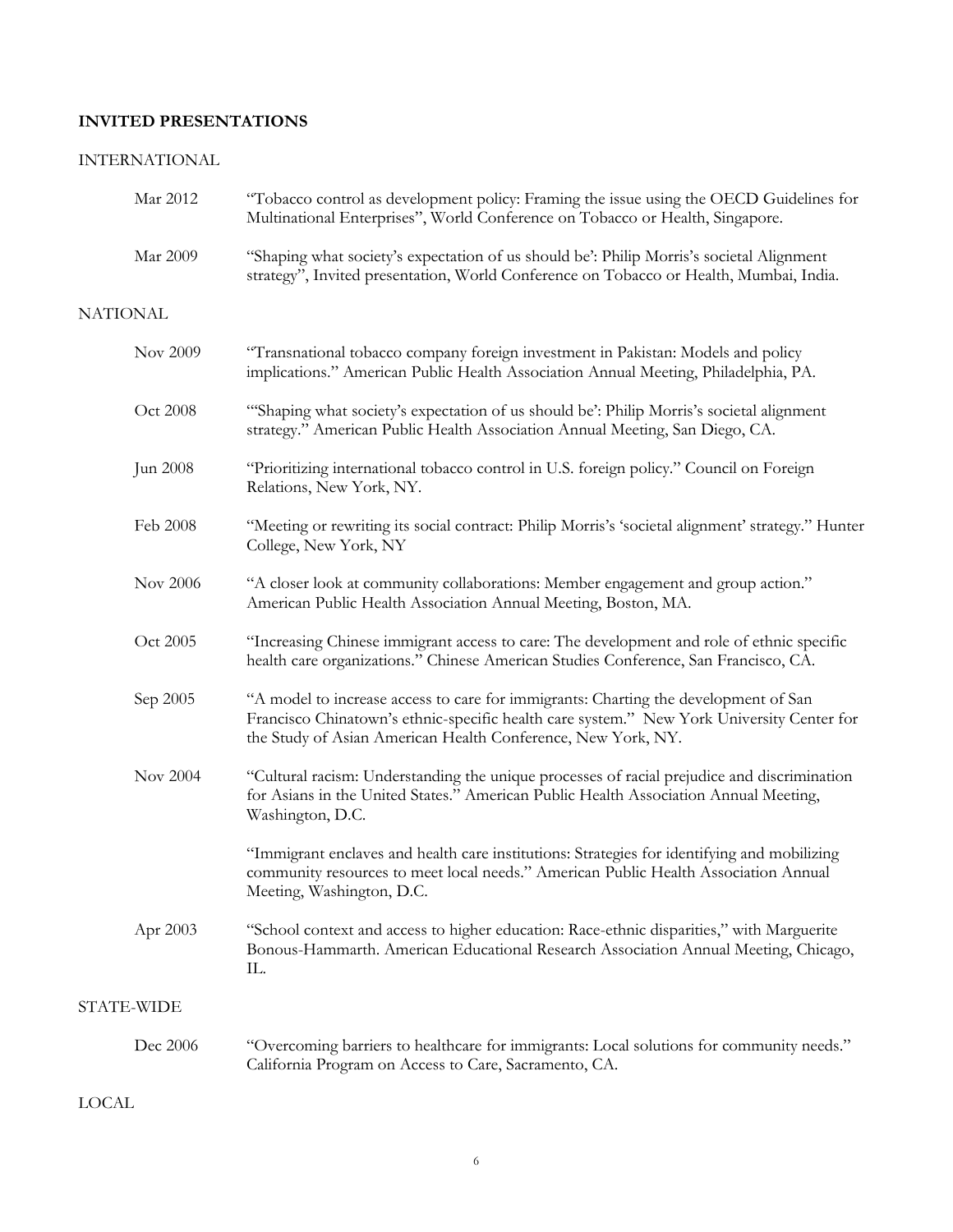## **INVITED PRESENTATIONS**

# INTERNATIONAL

| Mar 2012        | "Tobacco control as development policy: Framing the issue using the OECD Guidelines for<br>Multinational Enterprises", World Conference on Tobacco or Health, Singapore.                                                                         |
|-----------------|--------------------------------------------------------------------------------------------------------------------------------------------------------------------------------------------------------------------------------------------------|
| Mar 2009        | "Shaping what society's expectation of us should be': Philip Morris's societal Alignment<br>strategy", Invited presentation, World Conference on Tobacco or Health, Mumbai, India.                                                               |
| <b>NATIONAL</b> |                                                                                                                                                                                                                                                  |
| Nov 2009        | "Transnational tobacco company foreign investment in Pakistan: Models and policy<br>implications." American Public Health Association Annual Meeting, Philadelphia, PA.                                                                          |
| Oct 2008        | "Shaping what society's expectation of us should be': Philip Morris's societal alignment<br>strategy." American Public Health Association Annual Meeting, San Diego, CA.                                                                         |
| Jun 2008        | "Prioritizing international tobacco control in U.S. foreign policy." Council on Foreign<br>Relations, New York, NY.                                                                                                                              |
| Feb 2008        | "Meeting or rewriting its social contract: Philip Morris's 'societal alignment' strategy." Hunter<br>College, New York, NY                                                                                                                       |
| Nov 2006        | "A closer look at community collaborations: Member engagement and group action."<br>American Public Health Association Annual Meeting, Boston, MA.                                                                                               |
| Oct 2005        | "Increasing Chinese immigrant access to care: The development and role of ethnic specific<br>health care organizations." Chinese American Studies Conference, San Francisco, CA.                                                                 |
| Sep 2005        | "A model to increase access to care for immigrants: Charting the development of San<br>Francisco Chinatown's ethnic-specific health care system." New York University Center for<br>the Study of Asian American Health Conference, New York, NY. |
| Nov 2004        | "Cultural racism: Understanding the unique processes of racial prejudice and discrimination<br>for Asians in the United States." American Public Health Association Annual Meeting,<br>Washington, D.C.                                          |
|                 | "Immigrant enclaves and health care institutions: Strategies for identifying and mobilizing<br>community resources to meet local needs." American Public Health Association Annual<br>Meeting, Washington, D.C.                                  |
| Apr 2003        | "School context and access to higher education: Race-ethnic disparities," with Marguerite<br>Bonous-Hammarth. American Educational Research Association Annual Meeting, Chicago,<br>Ш.                                                           |
| STATE-WIDE      |                                                                                                                                                                                                                                                  |
| Dec 2006        | "Overcoming barriers to healthcare for immigrants: Local solutions for community needs."<br>California Program on Access to Care, Sacramento, CA.                                                                                                |
| <b>LOCAL</b>    |                                                                                                                                                                                                                                                  |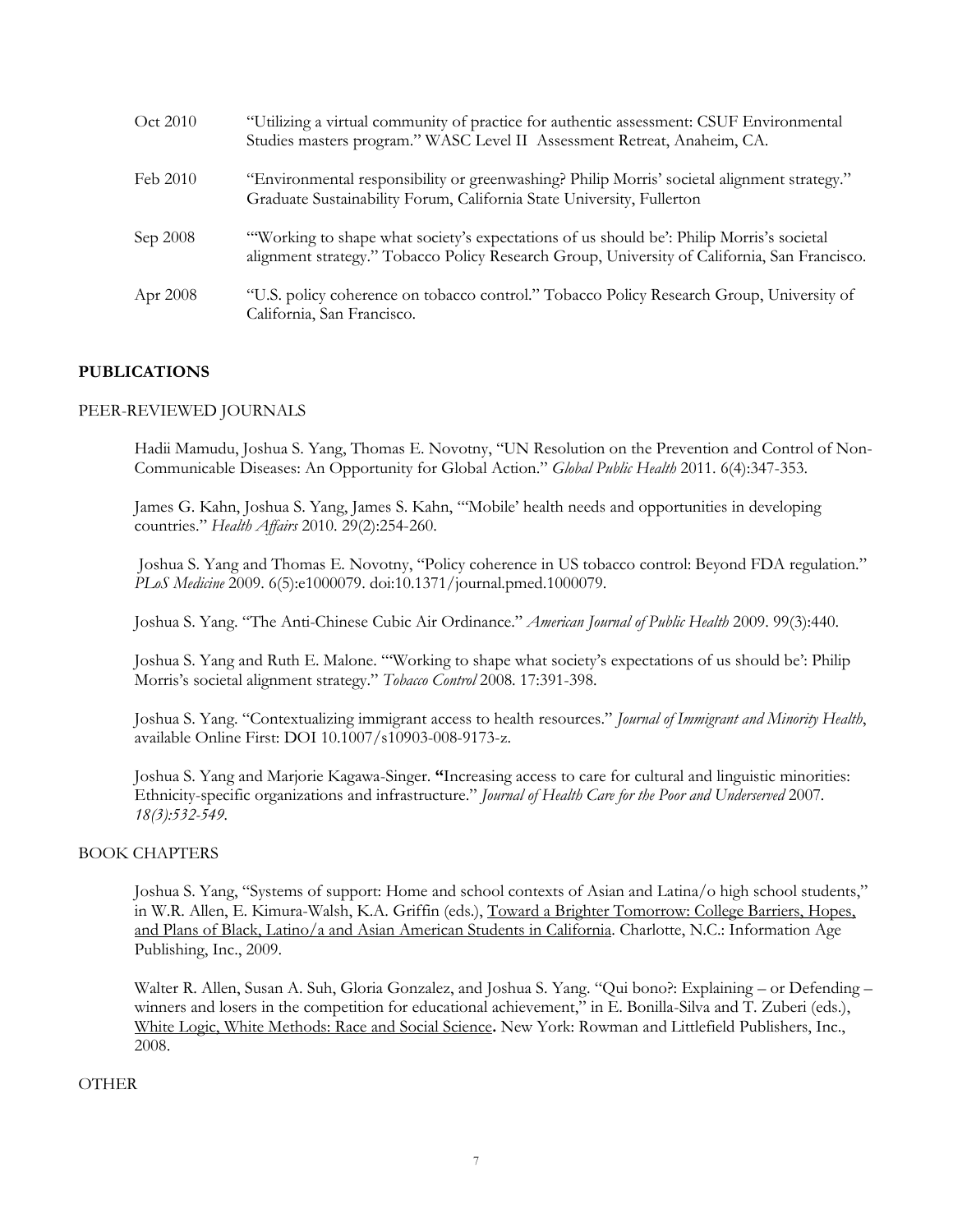| Oct 2010 | "Utilizing a virtual community of practice for authentic assessment: CSUF Environmental<br>Studies masters program." WASC Level II Assessment Retreat, Anaheim, CA.                      |
|----------|------------------------------------------------------------------------------------------------------------------------------------------------------------------------------------------|
| Feb 2010 | "Environmental responsibility or greenwashing? Philip Morris' societal alignment strategy."<br>Graduate Sustainability Forum, California State University, Fullerton                     |
| Sep 2008 | "Working to shape what society's expectations of us should be': Philip Morris's societal<br>alignment strategy." Tobacco Policy Research Group, University of California, San Francisco. |
| Apr 2008 | "U.S. policy coherence on tobacco control." Tobacco Policy Research Group, University of<br>California, San Francisco.                                                                   |

### **PUBLICATIONS**

#### PEER-REVIEWED JOURNALS

Hadii Mamudu, Joshua S. Yang, Thomas E. Novotny, "UN Resolution on the Prevention and Control of Non-Communicable Diseases: An Opportunity for Global Action." *Global Public Health* 2011. 6(4):347-353.

James G. Kahn, Joshua S. Yang, James S. Kahn, "'Mobile' health needs and opportunities in developing countries." *Health Affairs* 2010. 29(2):254-260.

Joshua S. Yang and Thomas E. Novotny, "Policy coherence in US tobacco control: Beyond FDA regulation." *PLoS Medicine* 2009. 6(5):e1000079. doi:10.1371/journal.pmed.1000079.

Joshua S. Yang. "The Anti-Chinese Cubic Air Ordinance." *American Journal of Public Health* 2009. 99(3):440.

Joshua S. Yang and Ruth E. Malone. "'Working to shape what society's expectations of us should be': Philip Morris's societal alignment strategy." *Tobacco Control* 2008. 17:391-398.

Joshua S. Yang. "Contextualizing immigrant access to health resources." *Journal of Immigrant and Minority Health*, available Online First: DOI 10.1007/s10903-008-9173-z.

Joshua S. Yang and Marjorie Kagawa-Singer. **"**Increasing access to care for cultural and linguistic minorities: Ethnicity-specific organizations and infrastructure." *Journal of Health Care for the Poor and Underserved* 2007*. 18(3):532-549.*

#### BOOK CHAPTERS

Joshua S. Yang, "Systems of support: Home and school contexts of Asian and Latina/o high school students," in W.R. Allen, E. Kimura-Walsh, K.A. Griffin (eds.), Toward a Brighter Tomorrow: College Barriers, Hopes, and Plans of Black, Latino/a and Asian American Students in California. Charlotte, N.C.: Information Age Publishing, Inc., 2009.

Walter R. Allen, Susan A. Suh, Gloria Gonzalez, and Joshua S. Yang. "Qui bono?: Explaining – or Defending – winners and losers in the competition for educational achievement," in E. Bonilla-Silva and T. Zuberi (eds.), White Logic, White Methods: Race and Social Science**.** New York: Rowman and Littlefield Publishers, Inc., 2008.

#### OTHER